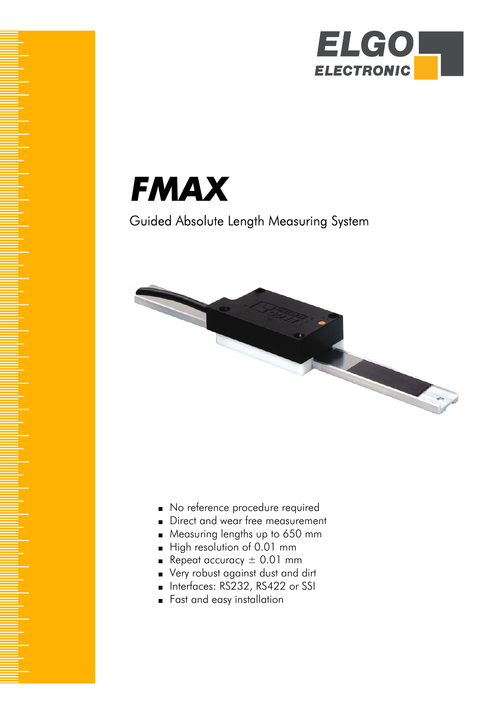



# Guided Absolute Length Measuring System



- No reference procedure required
- Direct and wear free measurement
- Measuring lengths up to 650 mm
- High resolution of 0.01 mm
- **•** Repeat accuracy  $\pm$  0.01 mm
- Very robust against dust and dirt
- Interfaces: RS232, RS422 or SSI
- Fast and easy installation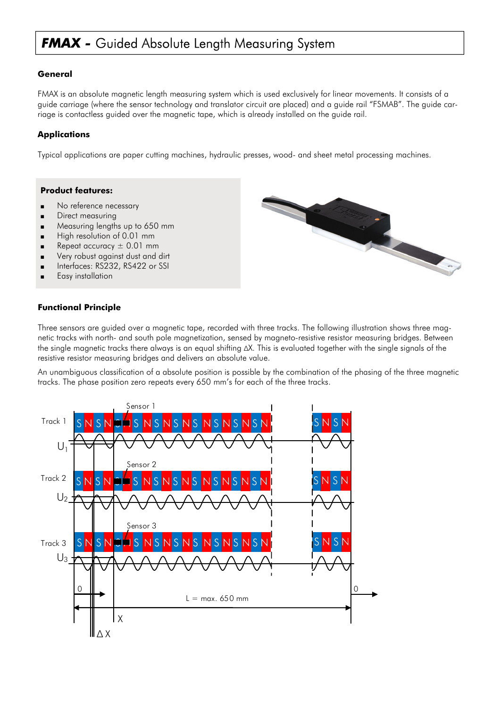# **FMAX -** Guided Absolute Length Measuring System

## **General**

FMAX is an absolute magnetic length measuring system which is used exclusively for linear movements. It consists of a guide carriage (where the sensor technology and translator circuit are placed) and a guide rail "FSMAB". The guide carriage is contactless guided over the magnetic tape, which is already installed on the guide rail.

## **Applications**

Typical applications are paper cutting machines, hydraulic presses, wood- and sheet metal processing machines.

#### **Product features:**

- No reference necessary
- Direct measuring
- Measuring lengths up to 650 mm
- High resolution of 0.01 mm
- Repeat accuracy  $\pm$  0.01 mm
- Very robust against dust and dirt
- Interfaces: RS232, RS422 or SSI
- Easy installation

## **Functional Principle**

Three sensors are guided over a magnetic tape, recorded with three tracks. The following illustration shows three magnetic tracks with north- and south pole magnetization, sensed by magneto-resistive resistor measuring bridges. Between the single magnetic tracks there always is an equal shifting ∆X. This is evaluated together with the single signals of the resistive resistor measuring bridges and delivers an absolute value.

An unambiguous classification of a absolute position is possible by the combination of the phasing of the three magnetic tracks. The phase position zero repeats every 650 mm's for each of the three tracks.



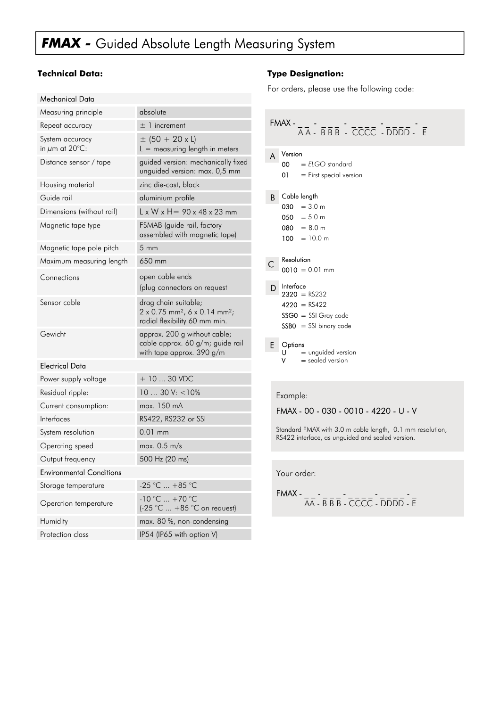# *FMAX -* Guided Absolute Length Measuring System

## **Technical Data:**

| Measuring principle                    | absolute                                                                                                              |  |  |  |
|----------------------------------------|-----------------------------------------------------------------------------------------------------------------------|--|--|--|
| Repeat accuracy                        | $\pm$ 1 increment                                                                                                     |  |  |  |
| System accuracy<br>in $\mu$ m at 20°C: | $\pm$ (50 + 20 x L)<br>$L =$ measuring length in meters                                                               |  |  |  |
| Distance sensor / tape                 | guided version: mechanically fixed<br>unguided version: max. 0,5 mm                                                   |  |  |  |
| Housing material                       | zinc die-cast, black                                                                                                  |  |  |  |
| Guide rail                             | aluminium profile                                                                                                     |  |  |  |
| Dimensions (without rail)              | $L \times W \times H = 90 \times 48 \times 23$ mm                                                                     |  |  |  |
| Magnetic tape type                     | FSMAB (guide rail, factory<br>assembled with magnetic tape)                                                           |  |  |  |
| Magnetic tape pole pitch               | $5 \text{ mm}$                                                                                                        |  |  |  |
| Maximum measuring length               | 650 mm                                                                                                                |  |  |  |
| Connections                            | open cable ends<br>(plug connectors on request                                                                        |  |  |  |
| Sensor cable                           | drag chain suitable;<br>$2 \times 0.75$ mm <sup>2</sup> , 6 x 0.14 mm <sup>2</sup> ;<br>radial flexibility 60 mm min. |  |  |  |
| Gewicht                                | approx. 200 g without cable;<br>cable approx. 60 g/m; guide rail<br>with tape approx. 390 g/m                         |  |  |  |
| <b>Electrical Data</b>                 |                                                                                                                       |  |  |  |
| Power supply voltage                   | $+1030$ VDC                                                                                                           |  |  |  |
| Residual ripple:                       | $1030$ V: $< 10\%$                                                                                                    |  |  |  |
| Current consumption:                   | max. 150 mA                                                                                                           |  |  |  |
| Interfaces                             | RS422, RS232 or SSI                                                                                                   |  |  |  |
| System resolution                      | $0.01$ mm                                                                                                             |  |  |  |
| Operating speed                        | max. $0.5$ m/s                                                                                                        |  |  |  |
| Output frequency                       | 500 Hz (20 ms)                                                                                                        |  |  |  |
| <b>Environmental Conditions</b>        |                                                                                                                       |  |  |  |
| Storage temperature                    | -25 °C  +85 °C                                                                                                        |  |  |  |
| Operation temperature                  | $-10 °C  +70 °C$<br>(-25 °C  +85 °C on request)                                                                       |  |  |  |
| Humidity                               | max. 80 %, non-condensing                                                                                             |  |  |  |
| Protection class                       | IP54 (IP65 with option V)                                                                                             |  |  |  |

## **Type Designation:**

For orders, please use the following code:

| A | Version<br>$00 = ELOGO$ standard |
|---|----------------------------------|
|   | $01 =$ First special version     |
|   | <b>B</b> Cable length            |
|   | $030 = 3.0$ m                    |
|   | $050 = 5.0$ m                    |
|   | $080 = 8.0$ m                    |
|   | $100 = 10.0$ m                   |
|   | Resolution                       |
|   | $0010 = 0.01$ mm                 |
|   | $D$ Interface<br>$2320 = R$ S232 |
|   | $4220 = RS422$                   |
|   |                                  |
|   | $SSGO = SSI$ Gray code           |
|   | $SSBO = SSI binary code$         |
|   | E Options                        |
|   | $U =$ unguided version           |
|   | $=$ sealed version               |

#### Example:

### FMAX - 00 - 030 - 0010 - 4220 - U - V

Standard FMAX with 3.0 m cable length, 0.1 mm resolution, RS422 interface, as unguided and sealed version.

Your order:

FMAX - \_ \_ - \_ \_ \_ - \_ \_ \_ \_ - \_ \_ \_ \_ - \_ AA - B B B - CCCC - DDDD - E